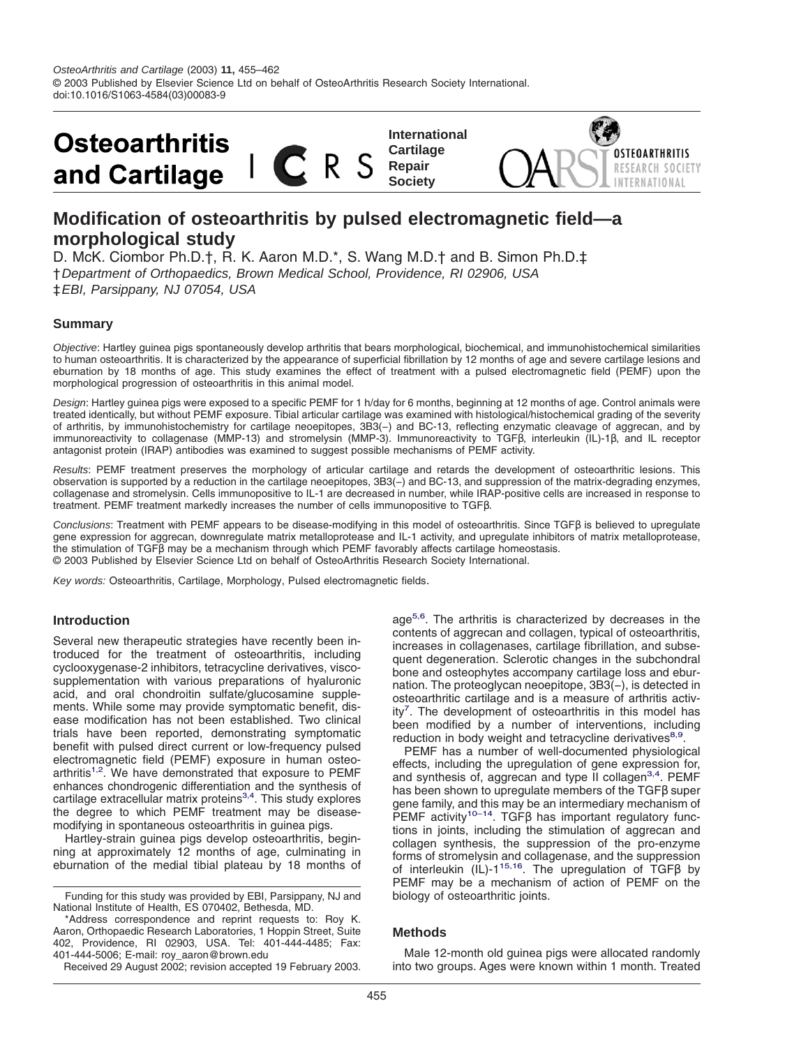

# **Modification of osteoarthritis by pulsed electromagnetic field—a morphological study**

D. McK. Ciombor Ph.D.†, R. K. Aaron M.D.\*, S. Wang M.D.† and B. Simon Ph.D.‡ †Department of Orthopaedics, Brown Medical School, Providence, RI 02906, USA ‡EBI, Parsippany, NJ 07054, USA

## **Summary**

Objective: Hartley guinea pigs spontaneously develop arthritis that bears morphological, biochemical, and immunohistochemical similarities to human osteoarthritis. It is characterized by the appearance of superficial fibrillation by 12 months of age and severe cartilage lesions and eburnation by 18 months of age. This study examines the effect of treatment with a pulsed electromagnetic field (PEMF) upon the morphological progression of osteoarthritis in this animal model.

Design: Hartley guinea pigs were exposed to a specific PEMF for 1 h/day for 6 months, beginning at 12 months of age. Control animals were treated identically, but without PEMF exposure. Tibial articular cartilage was examined with histological/histochemical grading of the severity of arthritis, by immunohistochemistry for cartilage neoepitopes, 3B3(−) and BC-13, reflecting enzymatic cleavage of aggrecan, and by immunoreactivity to collagenase (MMP-13) and stromelysin (MMP-3). Immunoreactivity to TGFβ, interleukin (IL)-1β, and IL receptor antagonist protein (IRAP) antibodies was examined to suggest possible mechanisms of PEMF activity.

Results: PEMF treatment preserves the morphology of articular cartilage and retards the development of osteoarthritic lesions. This observation is supported by a reduction in the cartilage neoepitopes, 3B3(−) and BC-13, and suppression of the matrix-degrading enzymes, collagenase and stromelysin. Cells immunopositive to IL-1 are decreased in number, while IRAP-positive cells are increased in response to treatment. PEMF treatment markedly increases the number of cells immunopositive to TGFβ.

Conclusions: Treatment with PEMF appears to be disease-modifying in this model of osteoarthritis. Since TGFβ is believed to upregulate gene expression for aggrecan, downregulate matrix metalloprotease and IL-1 activity, and upregulate inhibitors of matrix metalloprotease, the stimulation of TGFβ may be a mechanism through which PEMF favorably affects cartilage homeostasis. © 2003 Published by Elsevier Science Ltd on behalf of OsteoArthritis Research Society International.

Key words: Osteoarthritis, Cartilage, Morphology, Pulsed electromagnetic fields.

#### **Introduction**

Several new therapeutic strategies have recently been introduced for the treatment of osteoarthritis, including cyclooxygenase-2 inhibitors, tetracycline derivatives, viscosupplementation with various preparations of hyaluronic acid, and oral chondroitin sulfate/glucosamine supplements. While some may provide symptomatic benefit, disease modification has not been established. Two clinical trials have been reported, demonstrating symptomatic benefit with pulsed direct current or low-frequency pulsed electromagnetic field (PEMF) exposure in human osteoarthritis<sup>1,2</sup>. We have demonstrated that exposure to PEMF enhances chondrogenic differentiation and the synthesis of cartilage extracellular matrix proteins $3,4$ . This study explores the degree to which PEMF treatment may be diseasemodifying in spontaneous osteoarthritis in guinea pigs.

Hartley-strain guinea pigs develop osteoarthritis, beginning at approximately 12 months of age, culminating in eburnation of the medial tibial plateau by 18 months of

Funding for this study was provided by EBI, Parsippany, NJ and National Institute of Health, ES 070402, Bethesda, MD.

\*Address correspondence and reprint requests to: Roy K. Aaron, Orthopaedic Research Laboratories, 1 Hoppin Street, Suite 402, Providence, RI 02903, USA. Tel: 401-444-4485; Fax: 401-444-5006; E-mail: roy\_aaron@brown.edu

Received 29 August 2002; revision accepted 19 February 2003.

age<sup>5,6</sup>. The arthritis is characterized by decreases in the contents of aggrecan and collagen, typical of osteoarthritis, increases in collagenases, cartilage fibrillation, and subsequent degeneration. Sclerotic changes in the subchondral bone and osteophytes accompany cartilage loss and eburnation. The proteoglycan neoepitope, 3B3(−), is detected in osteoarthritic cartilage and is a measure of arthritis activity<sup>7</sup>. The development of osteoarthritis in this model has been modified by a number of interventions, including reduction in body weight and tetracycline derivatives $8.9$ .

PEMF has a number of well-documented physiological effects, including the upregulation of gene expression for, and synthesis of, aggrecan and type II collagen<sup>3,4</sup>. PEMF has been shown to upregulate members of the TGFβ super gene family, and this may be an intermediary mechanism of PEMF activity<sup>10–14</sup>. TGF $\beta$  has important regulatory functions in joints, including the stimulation of aggrecan and collagen synthesis, the suppression of the pro-enzyme forms of stromelysin and collagenase, and the suppression of interleukin (IL)-[115,16.](#page-7-0) The upregulation of TGFβ by PEMF may be a mechanism of action of PEMF on the biology of osteoarthritic joints.

#### **Methods**

Male 12-month old guinea pigs were allocated randomly into two groups. Ages were known within 1 month. Treated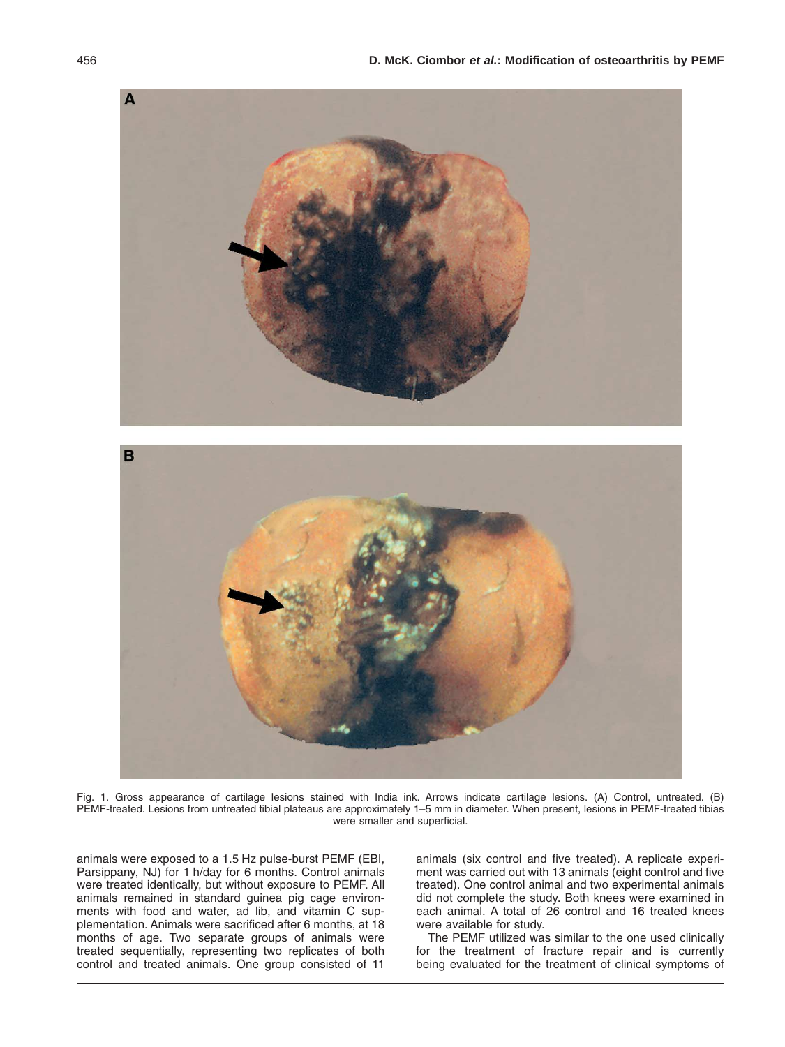<span id="page-1-0"></span>

Fig. 1. Gross appearance of cartilage lesions stained with India ink. Arrows indicate cartilage lesions. (A) Control, untreated. (B) PEMF-treated. Lesions from untreated tibial plateaus are approximately 1–5 mm in diameter. When present, lesions in PEMF-treated tibias were smaller and superficial.

animals were exposed to a 1.5 Hz pulse-burst PEMF (EBI, Parsippany, NJ) for 1 h/day for 6 months. Control animals were treated identically, but without exposure to PEMF. All animals remained in standard guinea pig cage environments with food and water, ad lib, and vitamin C supplementation. Animals were sacrificed after 6 months, at 18 months of age. Two separate groups of animals were treated sequentially, representing two replicates of both control and treated animals. One group consisted of 11 animals (six control and five treated). A replicate experiment was carried out with 13 animals (eight control and five treated). One control animal and two experimental animals did not complete the study. Both knees were examined in each animal. A total of 26 control and 16 treated knees were available for study.

The PEMF utilized was similar to the one used clinically for the treatment of fracture repair and is currently being evaluated for the treatment of clinical symptoms of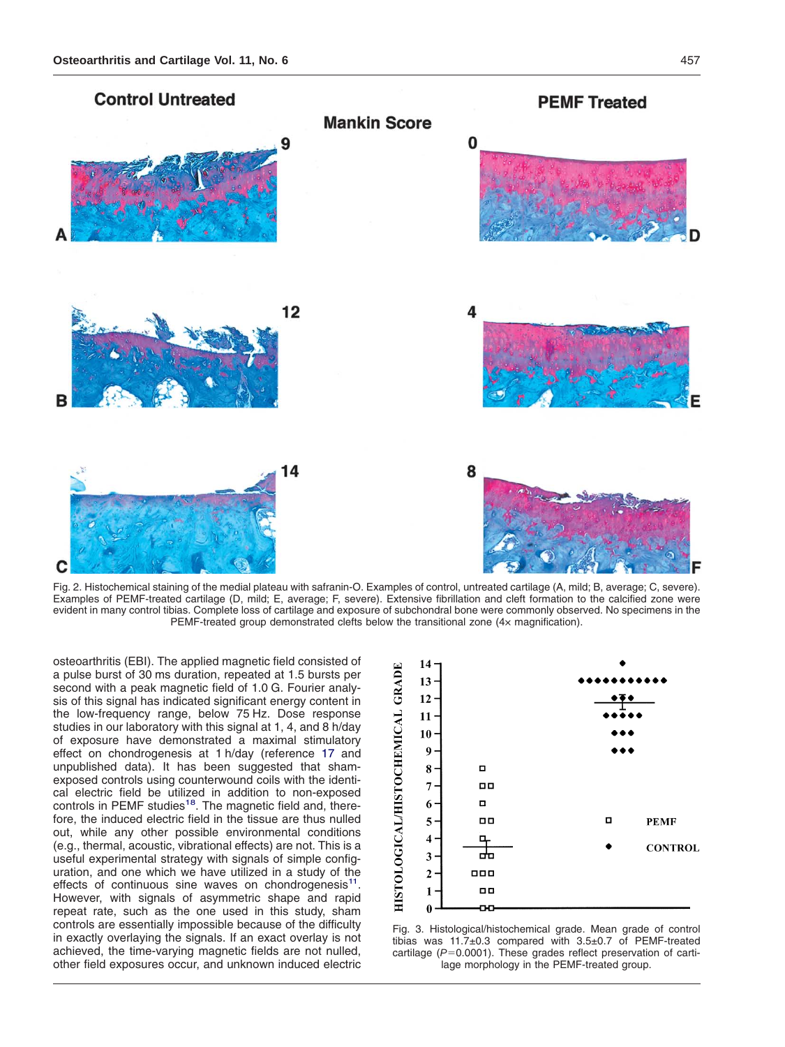<span id="page-2-0"></span>

Fig. 2. Histochemical staining of the medial plateau with safranin-O. Examples of control, untreated cartilage (A, mild; B, average; C, severe). Examples of PEMF-treated cartilage (D, mild; E, average; F, severe). Extensive fibrillation and cleft formation to the calcified zone were evident in many control tibias. Complete loss of cartilage and exposure of subchondral bone were commonly observed. No specimens in the PEMF-treated group demonstrated clefts below the transitional zone (4× magnification).

osteoarthritis (EBI). The applied magnetic field consisted of a pulse burst of 30 ms duration, repeated at 1.5 bursts per second with a peak magnetic field of 1.0 G. Fourier analysis of this signal has indicated significant energy content in the low-frequency range, below 75 Hz. Dose response studies in our laboratory with this signal at 1, 4, and 8 h/day of exposure have demonstrated a maximal stimulatory effect on chondrogenesis at 1 h/day (reference [17](#page-7-0) and unpublished data). It has been suggested that shamexposed controls using counterwound coils with the identical electric field be utilized in addition to non-exposed controls in PEMF studies<sup>18</sup>. The magnetic field and, therefore, the induced electric field in the tissue are thus nulled out, while any other possible environmental conditions (e.g., thermal, acoustic, vibrational effects) are not. This is a useful experimental strategy with signals of simple configuration, and one which we have utilized in a study of the effects of continuous sine waves on chondrogenesis<sup>11</sup>. However, with signals of asymmetric shape and rapid repeat rate, such as the one used in this study, sham controls are essentially impossible because of the difficulty in exactly overlaying the signals. If an exact overlay is not achieved, the time-varying magnetic fields are not nulled, other field exposures occur, and unknown induced electric



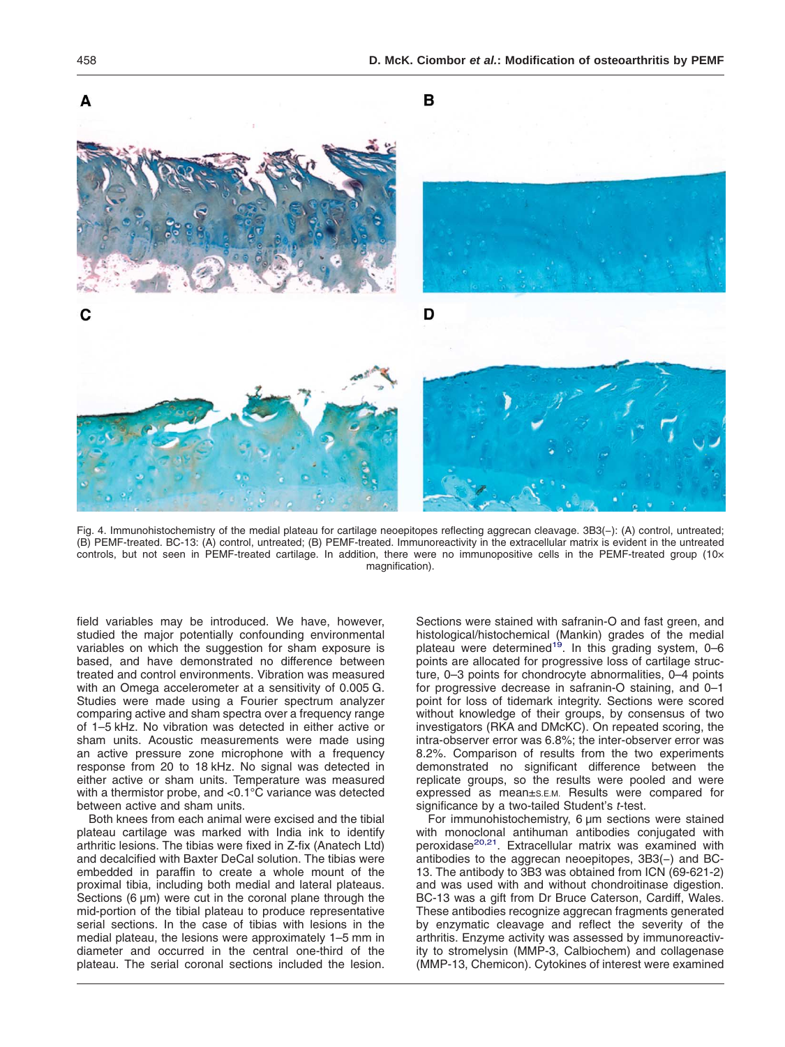<span id="page-3-0"></span>

Fig. 4. Immunohistochemistry of the medial plateau for cartilage neoepitopes reflecting aggrecan cleavage. 3B3(−): (A) control, untreated; (B) PEMF-treated. BC-13: (A) control, untreated; (B) PEMF-treated. Immunoreactivity in the extracellular matrix is evident in the untreated controls, but not seen in PEMF-treated cartilage. In addition, there were no immunopositive cells in the PEMF-treated group (10x magnification).

field variables may be introduced. We have, however, studied the major potentially confounding environmental variables on which the suggestion for sham exposure is based, and have demonstrated no difference between treated and control environments. Vibration was measured with an Omega accelerometer at a sensitivity of 0.005 G. Studies were made using a Fourier spectrum analyzer comparing active and sham spectra over a frequency range of 1–5 kHz. No vibration was detected in either active or sham units. Acoustic measurements were made using an active pressure zone microphone with a frequency response from 20 to 18 kHz. No signal was detected in either active or sham units. Temperature was measured with a thermistor probe, and <0.1°C variance was detected between active and sham units.

Both knees from each animal were excised and the tibial plateau cartilage was marked with India ink to identify arthritic lesions. The tibias were fixed in Z-fix (Anatech Ltd) and decalcified with Baxter DeCal solution. The tibias were embedded in paraffin to create a whole mount of the proximal tibia, including both medial and lateral plateaus. Sections (6 µm) were cut in the coronal plane through the mid-portion of the tibial plateau to produce representative serial sections. In the case of tibias with lesions in the medial plateau, the lesions were approximately 1–5 mm in diameter and occurred in the central one-third of the plateau. The serial coronal sections included the lesion. Sections were stained with safranin-O and fast green, and histological/histochemical (Mankin) grades of the medial<br>plateau were determined<sup>19</sup>. In this grading system, 0–6 points are allocated for progressive loss of cartilage structure, 0–3 points for chondrocyte abnormalities, 0–4 points for progressive decrease in safranin-O staining, and 0–1 point for loss of tidemark integrity. Sections were scored without knowledge of their groups, by consensus of two investigators (RKA and DMcKC). On repeated scoring, the intra-observer error was 6.8%; the inter-observer error was 8.2%. Comparison of results from the two experiments demonstrated no significant difference between the replicate groups, so the results were pooled and were expressed as mean±S.E.M. Results were compared for significance by a two-tailed Student's t-test.

For immunohistochemistry, 6 µm sections were stained with monoclonal antihuman antibodies conjugated with peroxidase<sup>20,21</sup>. Extracellular matrix was examined with antibodies to the aggrecan neoepitopes, 3B3(−) and BC-13. The antibody to 3B3 was obtained from ICN (69-621-2) and was used with and without chondroitinase digestion. BC-13 was a gift from Dr Bruce Caterson, Cardiff, Wales. These antibodies recognize aggrecan fragments generated by enzymatic cleavage and reflect the severity of the arthritis. Enzyme activity was assessed by immunoreactivity to stromelysin (MMP-3, Calbiochem) and collagenase (MMP-13, Chemicon). Cytokines of interest were examined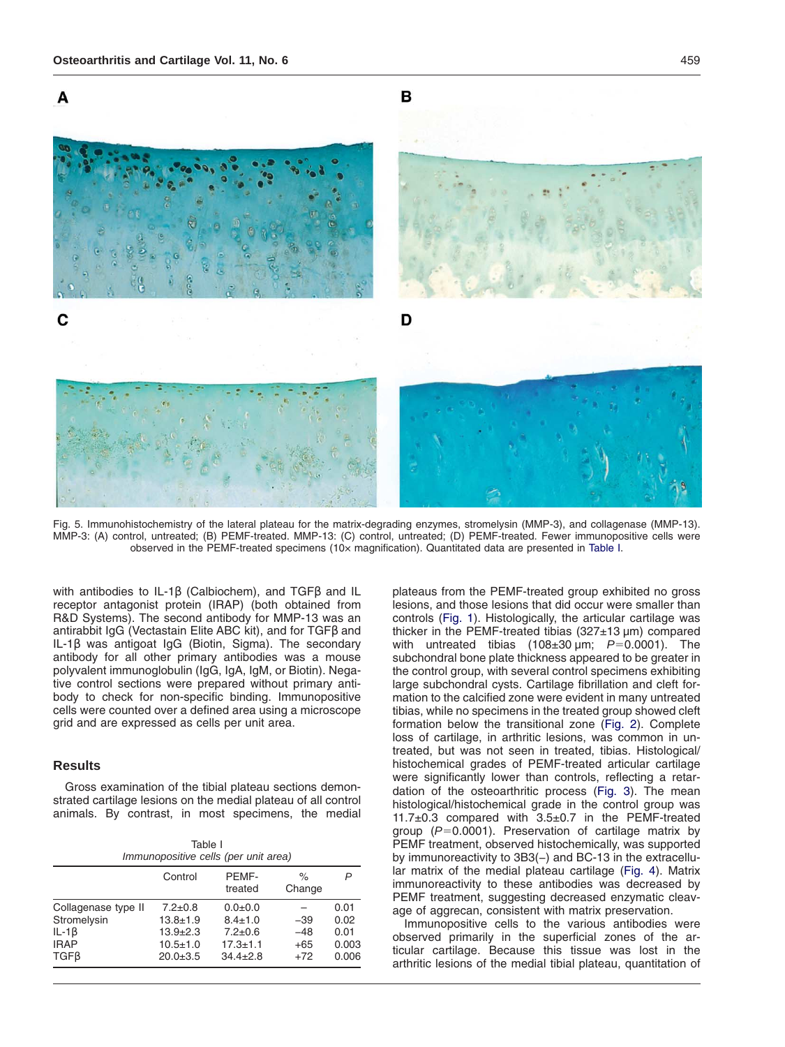

<span id="page-4-0"></span>

Fig. 5. Immunohistochemistry of the lateral plateau for the matrix-degrading enzymes, stromelysin (MMP-3), and collagenase (MMP-13). MMP-3: (A) control, untreated; (B) PEMF-treated. MMP-13: (C) control, untreated; (D) PEMF-treated. Fewer immunopositive cells were observed in the PEMF-treated specimens (10× magnification). Quantitated data are presented in Table I.

with antibodies to IL-1β (Calbiochem), and TGFβ and IL receptor antagonist protein (IRAP) (both obtained from R&D Systems). The second antibody for MMP-13 was an antirabbit IgG (Vectastain Elite ABC kit), and for TGFβ and IL-1β was antigoat IgG (Biotin, Sigma). The secondary antibody for all other primary antibodies was a mouse polyvalent immunoglobulin (IgG, IgA, IgM, or Biotin). Negative control sections were prepared without primary antibody to check for non-specific binding. Immunopositive cells were counted over a defined area using a microscope grid and are expressed as cells per unit area.

### **Results**

Gross examination of the tibial plateau sections demonstrated cartilage lesions on the medial plateau of all control animals. By contrast, in most specimens, the medial

| Table I<br>Immunopositive cells (per unit area) |                |                  |                |       |
|-------------------------------------------------|----------------|------------------|----------------|-------|
|                                                 | Control        | PEMF-<br>treated | $\%$<br>Change | P     |
| Collagenase type II                             | $7.2 \pm 0.8$  | $0.0 + 0.0$      | $-39$          | 0.01  |
| Stromelysin                                     | $13.8 + 1.9$   | $8.4 \pm 1.0$    |                | 0.02  |
| IL-1 $\beta$                                    | $13.9 + 2.3$   | $7.2 \pm 0.6$    | $-48$          | 0.01  |
| <b>IRAP</b>                                     | $10.5 \pm 1.0$ | $17.3 \pm 1.1$   | $+65$          | 0.003 |
| $TGF\beta$                                      | $20.0 + 3.5$   | $34.4 \pm 2.8$   | $+72$          | 0.006 |

plateaus from the PEMF-treated group exhibited no gross lesions, and those lesions that did occur were smaller than controls [\(Fig. 1\)](#page-1-0). Histologically, the articular cartilage was thicker in the PEMF-treated tibias (327±13 µm) compared with untreated tibias  $(108\pm30 \,\text{\upmu m}; P=0.0001)$ . The subchondral bone plate thickness appeared to be greater in the control group, with several control specimens exhibiting large subchondral cysts. Cartilage fibrillation and cleft formation to the calcified zone were evident in many untreated tibias, while no specimens in the treated group showed cleft formation below the transitional zone [\(Fig. 2\)](#page-2-0). Complete loss of cartilage, in arthritic lesions, was common in untreated, but was not seen in treated, tibias. Histological/ histochemical grades of PEMF-treated articular cartilage were significantly lower than controls, reflecting a retardation of the osteoarthritic process [\(Fig. 3\)](#page-2-0). The mean histological/histochemical grade in the control group was 11.7±0.3 compared with 3.5±0.7 in the PEMF-treated group ( $P=0.0001$ ). Preservation of cartilage matrix by PEMF treatment, observed histochemically, was supported by immunoreactivity to 3B3(−) and BC-13 in the extracellular matrix of the medial plateau cartilage [\(Fig. 4\)](#page-3-0). Matrix immunoreactivity to these antibodies was decreased by PEMF treatment, suggesting decreased enzymatic cleavage of aggrecan, consistent with matrix preservation.

Immunopositive cells to the various antibodies were observed primarily in the superficial zones of the articular cartilage. Because this tissue was lost in the arthritic lesions of the medial tibial plateau, quantitation of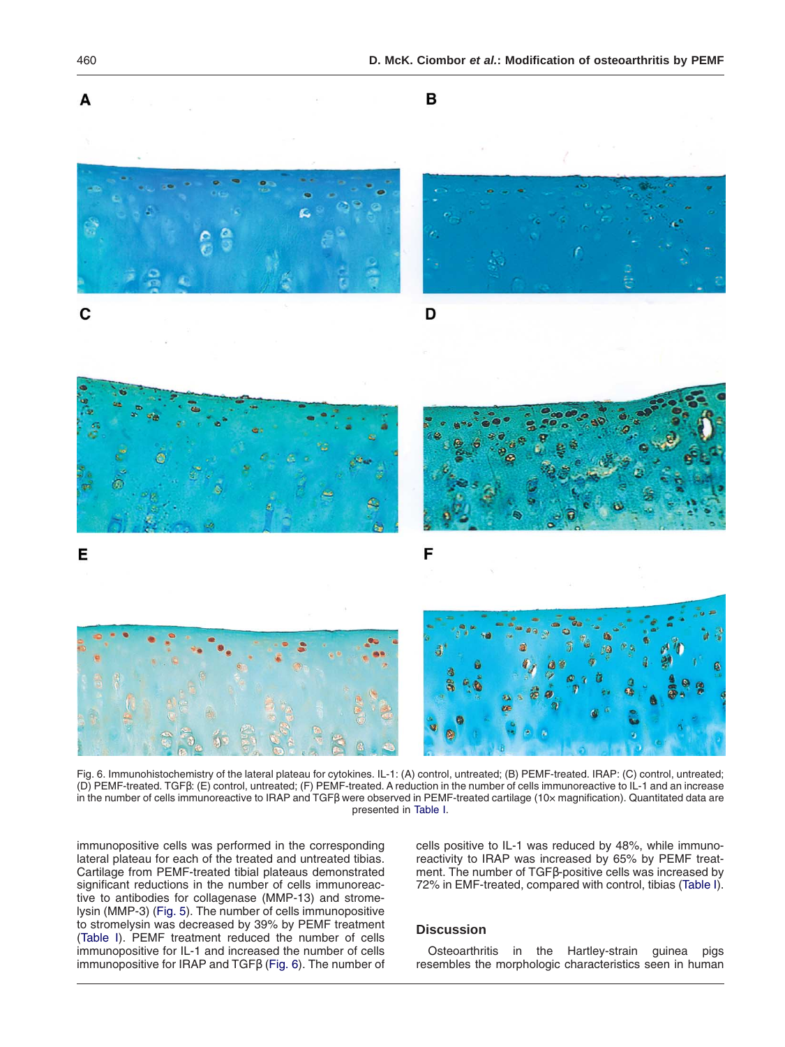

Fig. 6. Immunohistochemistry of the lateral plateau for cytokines. IL-1: (A) control, untreated; (B) PEMF-treated. IRAP: (C) control, untreated; (D) PEMF-treated. TGFβ: (E) control, untreated; (F) PEMF-treated. A reduction in the number of cells immunoreactive to IL-1 and an increase in the number of cells immunoreactive to IRAP and TGFβ were observed in PEMF-treated cartilage (10× magnification). Quantitated data are presented in [Table I.](#page-4-0)

immunopositive cells was performed in the corresponding lateral plateau for each of the treated and untreated tibias. Cartilage from PEMF-treated tibial plateaus demonstrated significant reductions in the number of cells immunoreactive to antibodies for collagenase (MMP-13) and stromelysin (MMP-3) [\(Fig. 5\)](#page-4-0). The number of cells immunopositive to stromelysin was decreased by 39% by PEMF treatment [\(Table I\)](#page-4-0). PEMF treatment reduced the number of cells immunopositive for IL-1 and increased the number of cells immunopositive for IRAP and TGFβ (Fig. 6). The number of cells positive to IL-1 was reduced by 48%, while immunoreactivity to IRAP was increased by 65% by PEMF treatment. The number of TGFβ-positive cells was increased by 72% in EMF-treated, compared with control, tibias [\(Table I\)](#page-4-0).

## **Discussion**

Osteoarthritis in the Hartley-strain guinea pigs resembles the morphologic characteristics seen in human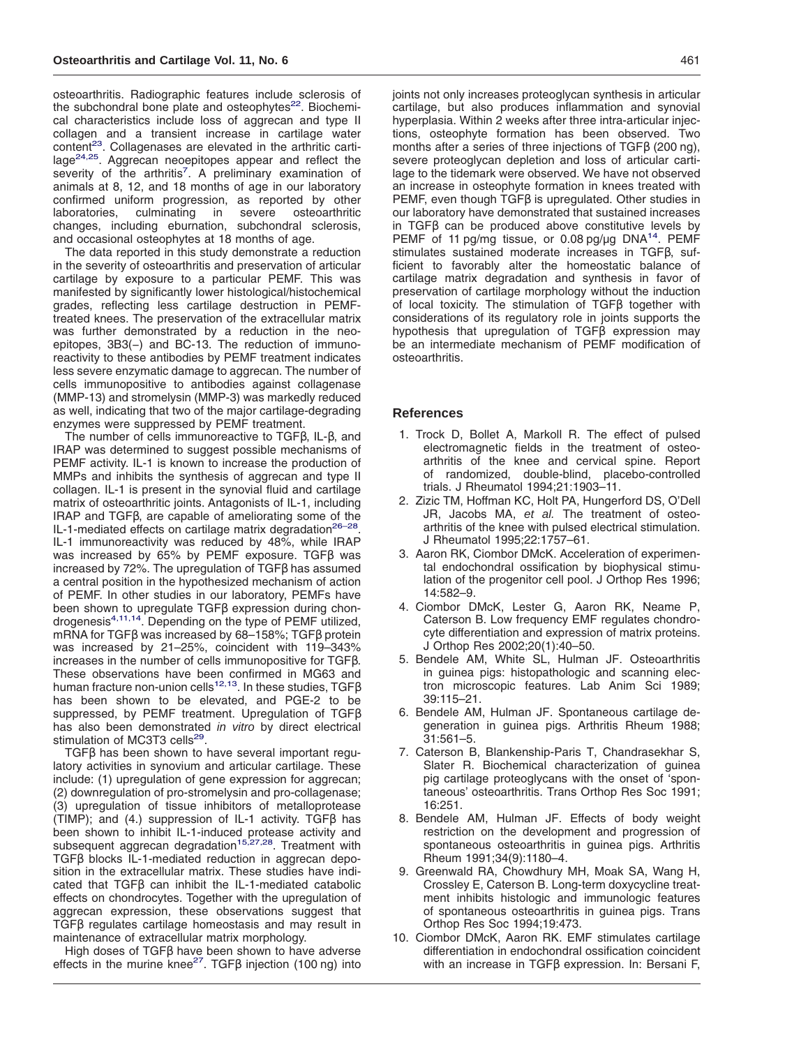<span id="page-6-0"></span>osteoarthritis. Radiographic features include sclerosis of the subchondral bone plate and osteophytes $^{22}$ . Biochemical characteristics include loss of aggrecan and type II collagen and a transient increase in cartilage water content<sup>23</sup>. Collagenases are elevated in the arthritic cartilage<sup>24,25</sup>. Aggrecan neoepitopes appear and reflect the severity of the arthritis<sup>7</sup>. A preliminary examination of animals at 8, 12, and 18 months of age in our laboratory confirmed uniform progression, as reported by other laboratories, culminating in severe osteoarthritic changes, including eburnation, subchondral sclerosis, and occasional osteophytes at 18 months of age.

The data reported in this study demonstrate a reduction in the severity of osteoarthritis and preservation of articular cartilage by exposure to a particular PEMF. This was manifested by significantly lower histological/histochemical grades, reflecting less cartilage destruction in PEMFtreated knees. The preservation of the extracellular matrix was further demonstrated by a reduction in the neoepitopes, 3B3(−) and BC-13. The reduction of immunoreactivity to these antibodies by PEMF treatment indicates less severe enzymatic damage to aggrecan. The number of cells immunopositive to antibodies against collagenase (MMP-13) and stromelysin (MMP-3) was markedly reduced as well, indicating that two of the major cartilage-degrading enzymes were suppressed by PEMF treatment.

The number of cells immunoreactive to TGFβ, IL-β, and IRAP was determined to suggest possible mechanisms of PEMF activity. IL-1 is known to increase the production of MMPs and inhibits the synthesis of aggrecan and type II collagen. IL-1 is present in the synovial fluid and cartilage matrix of osteoarthritic joints. Antagonists of IL-1, including IRAP and TGFβ, are capable of ameliorating some of the IL-1-mediated effects on cartilage matrix degradation<sup>26-28</sup>. IL-1 immunoreactivity was reduced by 48%, while IRAP was increased by 65% by PEMF exposure. TGFβ was increased by 72%. The upregulation of TGFβ has assumed a central position in the hypothesized mechanism of action of PEMF. In other studies in our laboratory, PEMFs have been shown to upregulate TGFβ expression during chondrogenesis4,11,14. Depending on the type of PEMF utilized, mRNA for TGFβ was increased by 68–158%; TGFβ protein was increased by 21–25%, coincident with 119–343% increases in the number of cells immunopositive for TGFβ. These observations have been confirmed in MG63 and human fracture non-union cells<sup>12,13</sup>. In these studies, TGFβ has been shown to be elevated, and PGE-2 to be suppressed, by PEMF treatment. Upregulation of TGFβ has also been demonstrated in vitro by direct electrical stimulation of MC3T3 cells<sup>29</sup>.

TGFβ has been shown to have several important regulatory activities in synovium and articular cartilage. These include: (1) upregulation of gene expression for aggrecan; (2) downregulation of pro-stromelysin and pro-collagenase; (3) upregulation of tissue inhibitors of metalloprotease (TIMP); and (4.) suppression of IL-1 activity. TGFβ has been shown to inhibit IL-1-induced protease activity and<br>subsequent aggrecan degradation<sup>15,27,28</sup>. Treatment with TGFβ blocks IL-1-mediated reduction in aggrecan deposition in the extracellular matrix. These studies have indicated that TGFβ can inhibit the IL-1-mediated catabolic effects on chondrocytes. Together with the upregulation of aggrecan expression, these observations suggest that TGFβ regulates cartilage homeostasis and may result in maintenance of extracellular matrix morphology.

High doses of TGFβ have been shown to have adverse effects in the murine knee<sup>27</sup>. TGFβ injection (100 ng) into joints not only increases proteoglycan synthesis in articular cartilage, but also produces inflammation and synovial hyperplasia. Within 2 weeks after three intra-articular injections, osteophyte formation has been observed. Two months after a series of three injections of TGFβ (200 ng), severe proteoglycan depletion and loss of articular cartilage to the tidemark were observed. We have not observed an increase in osteophyte formation in knees treated with PEMF, even though TGFβ is upregulated. Other studies in our laboratory have demonstrated that sustained increases in TGFβ can be produced above constitutive levels by PEMF of 11 pg/mg tissue, or 0.08 pg/ug DNA<sup>14</sup>. PEMF stimulates sustained moderate increases in TGFβ, sufficient to favorably alter the homeostatic balance of cartilage matrix degradation and synthesis in favor of preservation of cartilage morphology without the induction of local toxicity. The stimulation of TGFβ together with considerations of its regulatory role in joints supports the hypothesis that upregulation of TGFβ expression may be an intermediate mechanism of PEMF modification of osteoarthritis.

#### **References**

- 1. Trock D, Bollet A, Markoll R. The effect of pulsed electromagnetic fields in the treatment of osteoarthritis of the knee and cervical spine. Report of randomized, double-blind, placebo-controlled trials. J Rheumatol 1994;21:1903–11.
- 2. Zizic TM, Hoffman KC, Holt PA, Hungerford DS, O'Dell JR, Jacobs MA, et al. The treatment of osteoarthritis of the knee with pulsed electrical stimulation. J Rheumatol 1995;22:1757–61.
- 3. Aaron RK, Ciombor DMcK. Acceleration of experimental endochondral ossification by biophysical stimulation of the progenitor cell pool. J Orthop Res 1996; 14:582–9.
- 4. Ciombor DMcK, Lester G, Aaron RK, Neame P, Caterson B. Low frequency EMF regulates chondrocyte differentiation and expression of matrix proteins. J Orthop Res 2002;20(1):40–50.
- 5. Bendele AM, White SL, Hulman JF. Osteoarthritis in guinea pigs: histopathologic and scanning electron microscopic features. Lab Anim Sci 1989; 39:115–21.
- 6. Bendele AM, Hulman JF. Spontaneous cartilage degeneration in guinea pigs. Arthritis Rheum 1988; 31:561–5.
- 7. Caterson B, Blankenship-Paris T, Chandrasekhar S, Slater R. Biochemical characterization of guinea pig cartilage proteoglycans with the onset of 'spontaneous' osteoarthritis. Trans Orthop Res Soc 1991; 16:251.
- 8. Bendele AM, Hulman JF. Effects of body weight restriction on the development and progression of spontaneous osteoarthritis in guinea pigs. Arthritis Rheum 1991;34(9):1180–4.
- 9. Greenwald RA, Chowdhury MH, Moak SA, Wang H, Crossley E, Caterson B. Long-term doxycycline treatment inhibits histologic and immunologic features of spontaneous osteoarthritis in guinea pigs. Trans Orthop Res Soc 1994;19:473.
- 10. Ciombor DMcK, Aaron RK. EMF stimulates cartilage differentiation in endochondral ossification coincident with an increase in TGFβ expression. In: Bersani F,